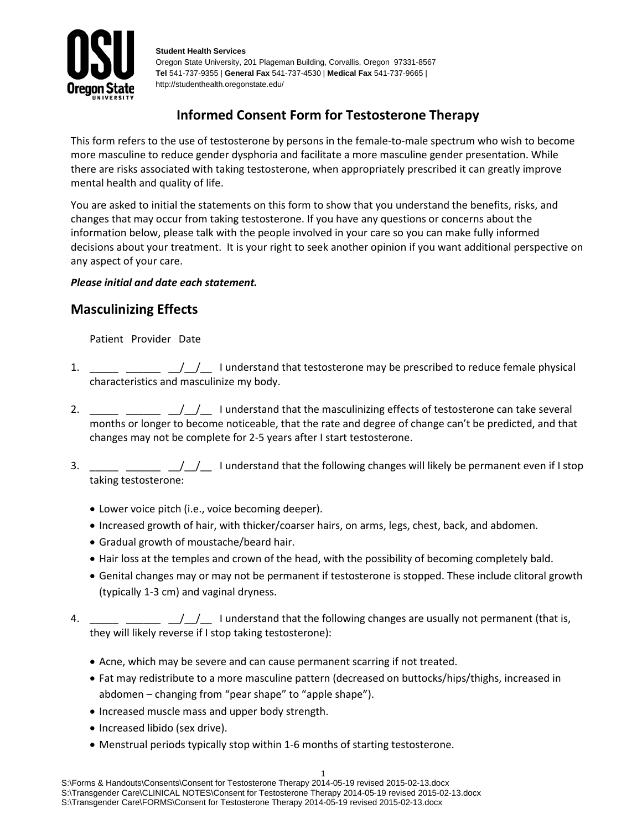

**Student Health Services** Oregon State University, 201 Plageman Building, Corvallis, Oregon 97331-8567 **Tel** 541-737-9355 | **General Fax** 541-737-4530 | **Medical Fax** 541-737-9665 | http://studenthealth.oregonstate.edu/

# **Informed Consent Form for Testosterone Therapy**

This form refers to the use of testosterone by persons in the female-to-male spectrum who wish to become more masculine to reduce gender dysphoria and facilitate a more masculine gender presentation. While there are risks associated with taking testosterone, when appropriately prescribed it can greatly improve mental health and quality of life.

You are asked to initial the statements on this form to show that you understand the benefits, risks, and changes that may occur from taking testosterone. If you have any questions or concerns about the information below, please talk with the people involved in your care so you can make fully informed decisions about your treatment. It is your right to seek another opinion if you want additional perspective on any aspect of your care.

#### *Please initial and date each statement.*

## **Masculinizing Effects**

Patient Provider Date

- 1.  $\frac{1}{1}$  \_\_\_\_\_ \_\_\_\_ \_/\_/\_\_ I understand that testosterone may be prescribed to reduce female physical characteristics and masculinize my body.
- 2.  $\frac{1}{2}$   $\frac{1}{2}$   $\frac{1}{2}$  I understand that the masculinizing effects of testosterone can take several months or longer to become noticeable, that the rate and degree of change can't be predicted, and that changes may not be complete for 2-5 years after I start testosterone.
- 3.  $\frac{1}{2}$   $\frac{1}{2}$   $\frac{1}{2}$  I understand that the following changes will likely be permanent even if I stop taking testosterone:
	- Lower voice pitch (i.e., voice becoming deeper).
	- Increased growth of hair, with thicker/coarser hairs, on arms, legs, chest, back, and abdomen.
	- Gradual growth of moustache/beard hair.
	- Hair loss at the temples and crown of the head, with the possibility of becoming completely bald.
	- Genital changes may or may not be permanent if testosterone is stopped. These include clitoral growth (typically 1-3 cm) and vaginal dryness.
- 4.  $\frac{1}{1-\frac{1}{1-\frac{1}{1-\frac{1}{1-\frac{1}{1-\frac{1}{1-\frac{1}{1-\frac{1}{1-\frac{1}{1-\frac{1}{1-\frac{1}{1-\frac{1}{1-\frac{1}{1-\frac{1}{1-\frac{1}{1-\frac{1}{1-\frac{1}{1-\frac{1}{1-\frac{1}{1-\frac{1}{1-\frac{1}{1-\frac{1}{1-\frac{1}{1-\frac{1}{1-\frac{1}{1-\frac{1}{1-\frac{1}{1-\frac{1}{1-\frac{1}{1-\frac{1}{1-\frac{1}{1-\frac{1}{1-\frac{1}{1-\frac{1}{1-\frac{1}{1-\frac{1}{1-\$ they will likely reverse if I stop taking testosterone):
	- Acne, which may be severe and can cause permanent scarring if not treated.
	- Fat may redistribute to a more masculine pattern (decreased on buttocks/hips/thighs, increased in abdomen – changing from "pear shape" to "apple shape").
	- Increased muscle mass and upper body strength.
	- Increased libido (sex drive).
	- Menstrual periods typically stop within 1-6 months of starting testosterone.

1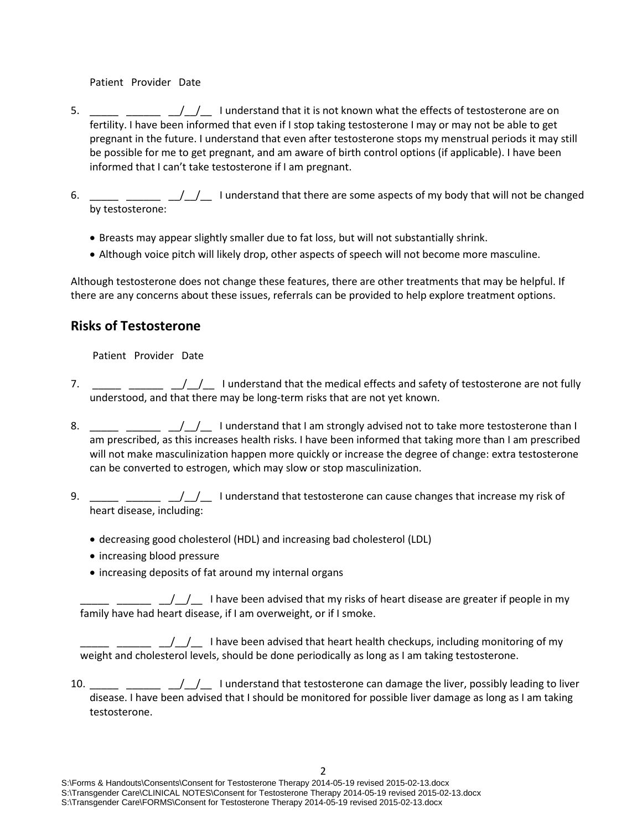Patient Provider Date

- 5.  $\frac{1}{\sqrt{1-\frac{1}{\sqrt{1-\frac{1}{\sqrt{1-\frac{1}{\sqrt{1-\frac{1}{\sqrt{1-\frac{1}{\sqrt{1-\frac{1}{\sqrt{1-\frac{1}{\sqrt{1-\frac{1}{\sqrt{1-\frac{1}{\sqrt{1-\frac{1}{\sqrt{1-\frac{1}{\sqrt{1-\frac{1}{\sqrt{1-\frac{1}{\sqrt{1-\frac{1}{\sqrt{1-\frac{1}{\sqrt{1-\frac{1}{\sqrt{1-\frac{1}{\sqrt{1-\frac{1}{\sqrt{1-\frac{1}{\sqrt{1-\frac{1}{\sqrt{1-\frac{1}{\sqrt{1-\frac{1}{\sqrt{1-\frac{1}{\sqrt{1-\$ fertility. I have been informed that even if I stop taking testosterone I may or may not be able to get pregnant in the future. I understand that even after testosterone stops my menstrual periods it may still be possible for me to get pregnant, and am aware of birth control options (if applicable). I have been informed that I can't take testosterone if I am pregnant.
- 6.  $\frac{1}{1-\frac{1}{1-\frac{1}{1-\frac{1}{1-\frac{1}{1-\frac{1}{1-\frac{1}{1-\frac{1}{1-\frac{1}{1-\frac{1}{1-\frac{1}{1-\frac{1}{1-\frac{1}{1-\frac{1}{1-\frac{1}{1-\frac{1}{1-\frac{1}{1-\frac{1}{1-\frac{1}{1-\frac{1}{1-\frac{1}{1-\frac{1}{1-\frac{1}{1-\frac{1}{1-\frac{1}{1-\frac{1}{1-\frac{1}{1-\frac{1}{1-\frac{1}{1-\frac{1}{1-\frac{1}{1-\frac{1}{1-\frac{1}{1-\frac{1}{1-\frac{1}{1-\frac{1}{1-\$ by testosterone:
	- Breasts may appear slightly smaller due to fat loss, but will not substantially shrink.
	- Although voice pitch will likely drop, other aspects of speech will not become more masculine.

Although testosterone does not change these features, there are other treatments that may be helpful. If there are any concerns about these issues, referrals can be provided to help explore treatment options.

### **Risks of Testosterone**

Patient Provider Date

- 7.  $\frac{1}{\frac{1}{\frac{1}{\sqrt{1-\frac{1}{\cdots}}}} \frac{1}{\frac{1}{\sqrt{1-\frac{1}{\cdots}}}}$  I understand that the medical effects and safety of testosterone are not fully understood, and that there may be long-term risks that are not yet known.
- 8.  $\frac{1}{1}$   $\frac{1}{1}$   $\frac{1}{1}$  I understand that I am strongly advised not to take more testosterone than I am prescribed, as this increases health risks. I have been informed that taking more than I am prescribed will not make masculinization happen more quickly or increase the degree of change: extra testosterone can be converted to estrogen, which may slow or stop masculinization.
- 9.  $\frac{1}{2}$  \_\_\_\_  $\frac{1}{2}$  I understand that testosterone can cause changes that increase my risk of heart disease, including:
	- decreasing good cholesterol (HDL) and increasing bad cholesterol (LDL)
	- increasing blood pressure
	- increasing deposits of fat around my internal organs

 $\frac{1}{\sqrt{1-\frac{1}{\sqrt{1-\frac{1}{\sqrt{1-\frac{1}{\sqrt{1-\frac{1}{\sqrt{1-\frac{1}{\sqrt{1-\frac{1}{\sqrt{1-\frac{1}{\sqrt{1-\frac{1}{\sqrt{1-\frac{1}{\sqrt{1-\frac{1}{\sqrt{1-\frac{1}{\sqrt{1-\frac{1}{\sqrt{1-\frac{1}{\sqrt{1-\frac{1}{\sqrt{1-\frac{1}{\sqrt{1-\frac{1}{\sqrt{1-\frac{1}{\sqrt{1-\frac{1}{\sqrt{1-\frac{1}{\sqrt{1-\frac{1}{\sqrt{1-\frac{1}{\sqrt{1-\frac{1}{\sqrt{1-\frac{1}{\sqrt{1-\frac{1$ family have had heart disease, if I am overweight, or if I smoke.

 $\Box$   $\Box/\Box$  I have been advised that heart health checkups, including monitoring of my weight and cholesterol levels, should be done periodically as long as I am taking testosterone.

10. \_\_\_\_\_ \_\_\_\_\_ \_\_/\_/\_\_ I understand that testosterone can damage the liver, possibly leading to liver disease. I have been advised that I should be monitored for possible liver damage as long as I am taking testosterone.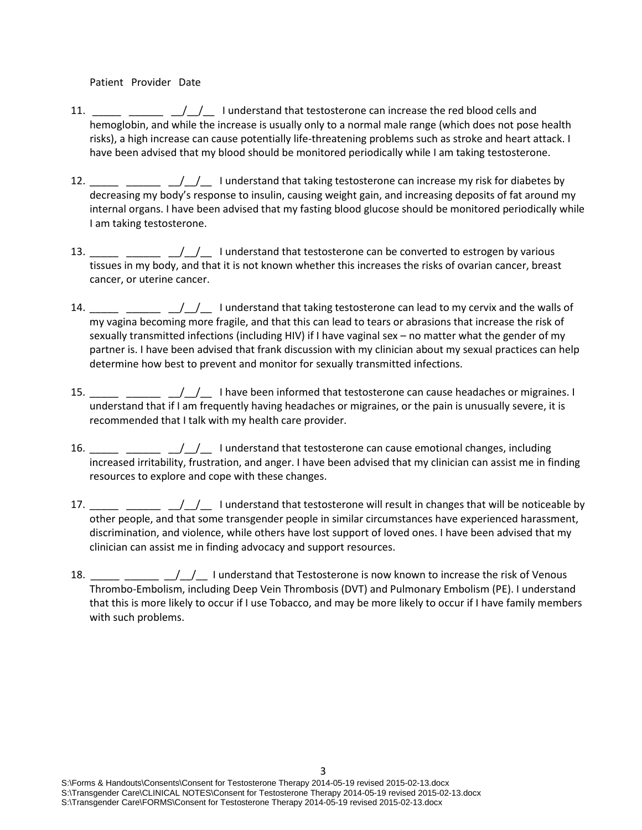Patient Provider Date

- 11. \_\_\_\_\_ \_\_\_\_\_\_ \_\_/\_\_/\_\_ I understand that testosterone can increase the red blood cells and hemoglobin, and while the increase is usually only to a normal male range (which does not pose health risks), a high increase can cause potentially life-threatening problems such as stroke and heart attack. I have been advised that my blood should be monitored periodically while I am taking testosterone.
- 12. \_\_\_\_\_ \_\_\_\_\_ \_\_/\_/\_\_ I understand that taking testosterone can increase my risk for diabetes by decreasing my body's response to insulin, causing weight gain, and increasing deposits of fat around my internal organs. I have been advised that my fasting blood glucose should be monitored periodically while I am taking testosterone.
- 13. \_\_\_\_\_ \_\_\_\_\_ \_\_/\_/\_\_ I understand that testosterone can be converted to estrogen by various tissues in my body, and that it is not known whether this increases the risks of ovarian cancer, breast cancer, or uterine cancer.
- 14. \_\_\_\_\_ \_\_\_\_\_ \_\_/\_\_/\_\_ I understand that taking testosterone can lead to my cervix and the walls of my vagina becoming more fragile, and that this can lead to tears or abrasions that increase the risk of sexually transmitted infections (including HIV) if I have vaginal sex – no matter what the gender of my partner is. I have been advised that frank discussion with my clinician about my sexual practices can help determine how best to prevent and monitor for sexually transmitted infections.
- 15. \_\_\_\_\_ \_\_\_\_\_ \_/\_/\_ I have been informed that testosterone can cause headaches or migraines. I understand that if I am frequently having headaches or migraines, or the pain is unusually severe, it is recommended that I talk with my health care provider.
- 16. \_\_\_\_\_ \_\_\_\_\_ \_\_/\_/\_\_ I understand that testosterone can cause emotional changes, including increased irritability, frustration, and anger. I have been advised that my clinician can assist me in finding resources to explore and cope with these changes.
- 17. \_\_\_\_\_ \_\_\_\_\_ \_\_/\_\_/\_\_ I understand that testosterone will result in changes that will be noticeable by other people, and that some transgender people in similar circumstances have experienced harassment, discrimination, and violence, while others have lost support of loved ones. I have been advised that my clinician can assist me in finding advocacy and support resources.
- 18.  $\frac{1}{2}$   $\frac{1}{2}$   $\frac{1}{2}$  I understand that Testosterone is now known to increase the risk of Venous Thrombo-Embolism, including Deep Vein Thrombosis (DVT) and Pulmonary Embolism (PE). I understand that this is more likely to occur if I use Tobacco, and may be more likely to occur if I have family members with such problems.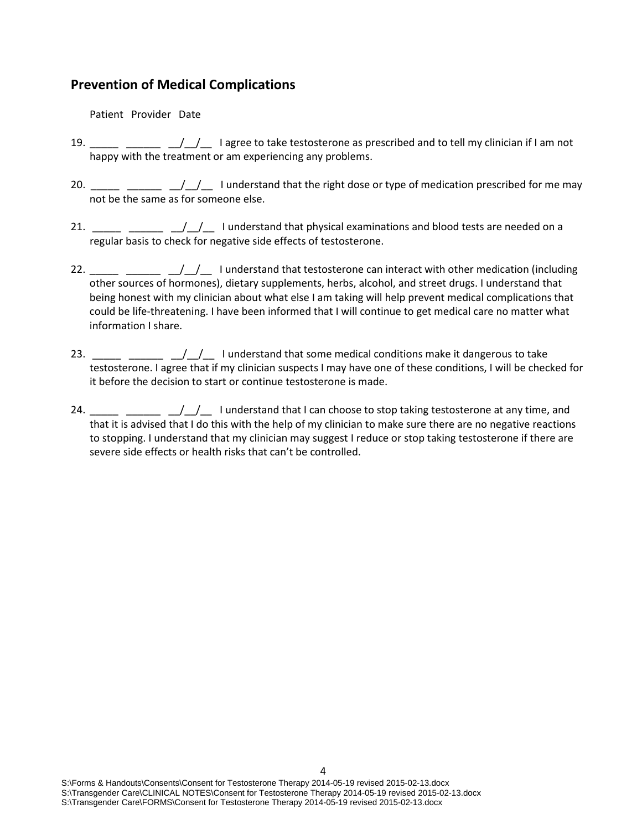### **Prevention of Medical Complications**

Patient Provider Date

- 19. \_\_\_\_\_ \_\_\_\_ \_\_/\_/\_\_ I agree to take testosterone as prescribed and to tell my clinician if I am not happy with the treatment or am experiencing any problems.
- 20. \_\_\_\_\_ \_\_\_\_\_ \_\_/\_\_/\_\_ I understand that the right dose or type of medication prescribed for me may not be the same as for someone else.
- 21.  $\frac{1}{2}$   $\frac{1}{2}$   $\frac{1}{2}$  I understand that physical examinations and blood tests are needed on a regular basis to check for negative side effects of testosterone.
- 22.  $\frac{1}{2}$   $\frac{1}{2}$   $\frac{1}{2}$  I understand that testosterone can interact with other medication (including other sources of hormones), dietary supplements, herbs, alcohol, and street drugs. I understand that being honest with my clinician about what else I am taking will help prevent medical complications that could be life-threatening. I have been informed that I will continue to get medical care no matter what information I share.
- 23.  $\frac{1}{2}$   $\frac{1}{2}$   $\frac{1}{2}$  I understand that some medical conditions make it dangerous to take testosterone. I agree that if my clinician suspects I may have one of these conditions, I will be checked for it before the decision to start or continue testosterone is made.
- 24.  $\frac{1}{1}$   $\frac{1}{1}$  understand that I can choose to stop taking testosterone at any time, and that it is advised that I do this with the help of my clinician to make sure there are no negative reactions to stopping. I understand that my clinician may suggest I reduce or stop taking testosterone if there are severe side effects or health risks that can't be controlled.